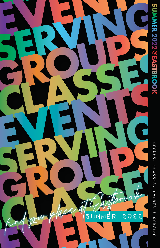

**LER 2022@EASTBROOK**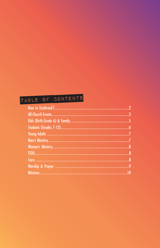#### TABLE OF CONTENTS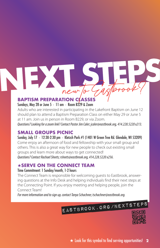## new to Gastorook?

#### **BAPTISM PREPARATION CLASSES**

#### Sundays, May 28 or June 5 · 11 am · Room B229 & Zoom

Adults who are interested in participating in the Lakefront Baptism on June 12 should plan to attend a Baptism Preparation Class on either May 29 or June 5 at 11 am. Join us in person in Room B229, or via Zoom.

*Questions? Looking for a zoom link? Contact Pastor Jim Caler; jcaler@eastbrook.org, 414.228.5220 x213.*

#### **SMALL GROUPS PICNIC**

Sunday, July 17 · 12:30-2:30 pm · Kletzch Park #1 (1401 W Green Tree Rd. Glendale, WI 53209) Come enjoy an afternoon of food and fellowship with your small group and others. This is also a great way for new people to check out existing small groups and learn more about ways to get connected! *Questions? Contact Rachael Sheets; rsheets@eastbrook.org, 414.228.5220 x256.*

#### ★**SERVE ON THE CONNECT TEAM**

#### Time Commitment: 1 Sunday/month, 1-2 hours

The Connect Team is responsible for welcoming guests to Eastbrook, answering questions at the Info Desk and helping individuals find their next steps at the Connecting Point. If you enjoy meeting and helping people, join the Connect Team!

*For more information and to sign up, contact Tanya Schachner, tschachner@eastbrook.org.*

#### eastbrook.org/nextsteps

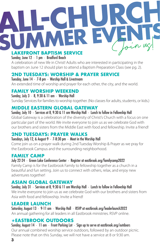### **LAKEFRONT BAPTISM SERVICE** Sunday, June 12 · 1 pm · Bradford Beach Join us!

A celebration of new life in Christ! Adults who are interested in participating in the baptism on June 12 should plan to attend a Baptism Preparation Class (see pg. 2).

#### **2ND TUESDAYS: WORSHIP & PRAYER SERVICE**

Tuesday, June 14 · 7-8 pm · Worship Hall & Livestream An extended time of worship and prayer for each other, the city, and the world.

#### **FAMILY WORSHIP WEEKEND**

Sunday, July 3 · 8, 9:30 & 11 am · Worship Hall Sunday Services for families to worship together. (No classes for adults, students, or kids.)

#### **MIDDLE EASTERN GLOBAL GATEWAY**

Sunday, July 10 · Services at 8, 9:30 & 11 am Worship Hall · Lunch to follow in Fellowship Hall Global Gateway is a celebration of the diversity of Christ's Church with a focus on one particular part of the world. We invite everyone to join us as we celebrate God with

#### our brothers and sisters from the Middle East with food and fellowship. Invite a friend!

#### **2ND TUESDAYS: PRAYER WALKS**

#### Tuesdays, July 12, & August 9 · 7-8:30 pm · Meet in the Worship Hall

Come join us on a prayer walk during 2nd Tuesday Worship & Prayer as we pray for the Eastbrook Campus and the surrounding neighborhood.

#### **FAMILY CAMP**

#### July 22-24 · Green Lake Conference Center · Register at eastbrook.org/familycamp2022

Family Camp is for the Eastbrook Family to fellowship together as a church in a beautiful and fun setting. Join us to connect with others, relax, and enjoy new adventures together!

#### **ASIAN GLOBAL GATEWAY**

Sunday, July 31 · Services at 8, 9:30 & 11 am Worship Hall · Lunch to follow in Fellowship Hall We invite everyone to join us as we celebrate God with our brothers and sisters from Asia with food and fellowship. Invite a friend!

#### **LEADER LAUNCH**

#### Saturday, August 13 · 9-11 am · Worship Hall · RSVP at eastbrook.org/leaderlaunch2022

An annual gathering for all leaders in all Eastbrook ministries. RSVP online.

#### ★**EASTBROOK OUTDOORS**

Sunday, August 14 · 11 am · Front Parking Lot · Sign up to serve at eastbrook.org/outdoors Our annual combined worship service outdoors, followed by an outdoor picnic. Please note that on this Sunday, we will not have a service at 8 or 9:30 am.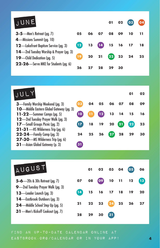| JUNE                                                                   |                 |    |                             | 01    | 02 | 03 | $\overline{04}$ |
|------------------------------------------------------------------------|-----------------|----|-----------------------------|-------|----|----|-----------------|
| 3-5-Men's Retreat (pg. 7)                                              | 05              | 06 | 07                          | 08    | 09 | 10 | 11              |
| 4—Missions Summit (pg. 10)<br>12-Lakefront Baptism Service (pg. 3)     | $\overline{12}$ | 13 | $\left( \mathbf{I4}\right)$ | 15 16 |    | 17 | -18             |
| 14—2nd Tuesday Worship & Prayer (pg. 3)<br>19-Child Dedication (pg. 5) | 19 <sup>°</sup> | 20 | 21                          | (22)  | 23 | 24 | 25              |
| 22-26-Serve MKE for Students (pg. 6)                                   | 26              |    | 28                          | 29    | 30 |    |                 |

| JULY                                                                                                                 |                 |    |         |    |    | 01              | 02 |
|----------------------------------------------------------------------------------------------------------------------|-----------------|----|---------|----|----|-----------------|----|
| 3-Family Worship Weekend (pg. 3)                                                                                     | 0 <sub>3</sub>  | 04 | 05      | 06 | 07 | 08              | 09 |
| <b>10</b> —Middle Eastern Global Gateway (pg. 3)<br>11-22—Summer Camps (pg. 5)<br>12-2nd Tuesday Prayer Walk (pg. 3) | 10              | 11 | $12 \,$ | 13 | 14 | 15              | 16 |
| <b>17</b> —Small Groups Picnic (pg. 2)                                                                               | 17 <sup>2</sup> | 18 | 19      | 20 | 21 | $\overline{22}$ | 23 |
| $21 - 31$ - HS Wilderness Trip (pg. 6)<br><b>22-24</b> —Family Camp (pg. 3)<br>27-30-MS Wilderness Trip (pg. 6)      | 24              | 25 | 26      | 27 | 28 | 29              | 30 |
| 31 - Asian Global Gateway (p. 3)                                                                                     | 31              |    |         |    |    |                 |    |

| AUGUST                                                              |             | 01              |            | 02 03 | 04 | (05) | 06 |
|---------------------------------------------------------------------|-------------|-----------------|------------|-------|----|------|----|
| <b>5-6</b> —20s & 30s Retreat (pg. 7)                               | 07          | 08              | $^{\circ}$ | 10 11 |    | 12   | 13 |
| 9—2nd Tuesday Prayer Walk (pg. 3)<br>13-Leader Launch (pg. 3)       | $\sqrt{14}$ | 15              | 16         | 17    | 18 | 19   | 20 |
| 14-Eastbrook Outdoors (pg. 3)<br>24 — Middle School Step Up (pg. 5) | 21          | 22 <sub>2</sub> | 23         | 24    | 25 | 26   | 27 |
| 31 - Men's Kickoff Cookout (pg. 7)                                  | 28          | 29              | 30         | 31    |    |      |    |

Find an up-to-date calendar online at eastbrook.org/calendar or in your app!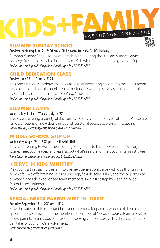

#### **SUMMER SUNDAY SCHOOL**

Sundays, beginning June 5  $\cdot$  9:30 am  $\cdot$  Find a room list in the B-100s Hallway

Summer Sunday School for K4-6th grade is held during the 9:30 am Sunday service. Nursery/Preschool available in all services. Kids will move to the next grade on Sept. 11. *Pastor Laure Herlinger; lherlinger@eastbrook.org, 414.228.5220 x225*

#### **CHILD DEDICATION CLASS**

#### Sunday, June 12 · 11 am · B121

This one-time class explores the biblical basis of dedicating children to the Lord. Parents who plan to dedicate their children in the June 19 worship services must attend this class and fill out the form at *eastbrook.org/dedication. Pastor Laure Herlinger; lherlinger@eastbrook.org, 414.228.5220 x225*

#### **SUMMER CAMPS**

#### Week 1: July 11-15 · Week 2: July 18-22

Two weeks offering a variety of day camps for kids K5 and up (as of Fall 2022). Please see full descriptions of individual camps and register at *eastbrook.org/summercamps. Karin Peterson; kpeterson@eastbrook.org, 414.228.5220 x262*

#### **MIDDLE SCHOOL STEP-UP**

#### Wednesday, August 24 · 6:30 pm · Fellowship Hall

This is an evening to welcome incoming 7th graders to Eastbrook Student Ministry. Come, meet your leaders and learn about what's in store for the upcoming ministry year! *Jamie Chapman; jchapman@eastbrook.org, 414.228.5220 x227*

#### ★**SERVE IN KIDS MINISTRY**

Play your part in passing the faith to the next generation! Serve with kids this summer or next fall. We offer training, curriculum prep, flexible scheduling, and the opportunity to work alongside experienced team members. Take a first step by reaching out to Pastor Laure Herlinger.

*Pastor Laure Herlinger; lherlinger@eastbrook.org, 414.228.5220 x225*

#### **SPECIAL NEEDS PARENT MEET 'N' GREET**

#### Saturday, September 18 · 9:30 am · B121

Save the date for this important fall event, intended for parents whose children have special needs. Come, meet the members of our Special Needs Resource Team as well as fellow parents! Learn about our vision for serving your kids, as well as the next steps you can take for your child's involvement.

*Sarah Fridenmaker, sfridenmaker@gmail.com*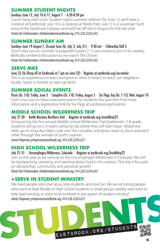#### **SUMMER STUDENT NIGHTS**

#### Sundays June 12, July 10 & 17, August 7 · 6:30-8:30 pm

Come hang with us for Student nights, summer edition! On June 12 we'll have a cookout at Eastbrook; July 10 is a cookout at Klode Park; July 17 is a scavenger hunt around the Eastbrook Campus, and we'll be off-site in August for the last one! *Pastor Nic Fridenmaker; nfridenmaker@eastbrook.org, 414.228.5220 x242*

#### **SUMMER SUNDAY AM**

#### Sundays June 19-August 7, (Except June 26, July 3, July 31) · 9:30 am · Fellowship Hall 3

Don't miss out on Summer SundayAM! Grades 7-12 are invited to join in for weekly, Biblically centered discussion as we watch *The Chosen. Pastor Nic Fridenmaker; nfridenmaker@eastbrook.org, 414.228.5220 x242*

#### **SERVE MKE**

June 22-26 (Drop off at Eastbrook at 7 pm on June 22) · Register at eastbrook.org/servemke This is an experience to learn and grow in what it means to reach our neighbors locally. Space is limited, so sign-up early!

#### **SUMMER SOCIAL EVENTS**

Picnic (Gr. 5-8): Friday, June 3 · Campfire (Gr. 7-8): Friday, August 5 · Six Flags Trip (Gr. 7-12): Wed. August 10 Don't miss out on these awesome events for students this summer! Find more information and a registration link for Six Flags at *eastbrook.org/students.*

#### **MIDDLE SCHOOL WILDERNESS TRIP**

#### July 27-30 · Kettle Moraine Northern Unit · Register at eastbrook.org/mswildtrip22

Announcing the first annual Middle School Wilderness Trip! Eastbrook's 7-8 grade students will go on a 3-night camping trip where they will learn basic wilderness skills, go on long day hikes, cook over the campfire, and grow closer to Jesus and each other through the wonder of God's creation.

*Jamie Chapman; jchapman@eastbrook.org, 414.228.5220 x227*

#### **HIGH SCHOOL WILDERNESS TRIP**

#### July 21-31 · Uncomphagre Wilderness, Colorado · Register at eastbrook.org/hswildtrip22

Join us this year as we venture to the Uncomphagre Wilderness in Colorado. We will be backpacking, camping, and learning about God in His creation. This trip is focused on discipleship, community, and personal growth.

*Pastor Nic Fridenmaker; nfridenmaker@eastbrook.org, 414.228.5220 x242*

#### ★**SERVE IN STUDENT MINISTRY**

We need people who love Jesus, love students, and love fun. We are recruiting people who want to lead Middle or High School students in small groups weekly, who want to help lead worship, or want to be involved in any aspect of student ministry! *Jamie Chapman; jchapman@eastbrook.org, 414.228.5220 x227*

eastbrook.org/students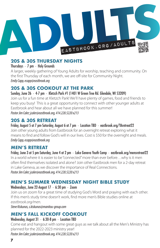

#### **20S & 30S THURSDAY NIGHTS**

Thursdays · 7 pm · Holy Grounds

A larger, weekly gathering of Young Adults for worship, teaching and community. On the first Thursday of each month, we are off-site for Community Night. *Emily Capp, ecapp@eastbrook.org*

#### **20S & 30S COOKOUT AT THE PARK**

#### Sunday, June 26 · 4-7 pm · Kletzch Park #1 (1401 W Green Tree Rd. Glendale, WI 53209)

Join us for a fun time at Kletzch Park! We'll have plenty of games, food and friends to keep you busy! This is a great opportunity to connect with other younger adults at Eastbrook and hear about all we have planned for this summer! *Pastor Jim Caler; jcaler@eastbrook.org, 414.228.5220 x213*

#### **20S & 30S RETREAT**

#### Friday, August 5 at 7 pm-Saturday, August 6 at 7 pm · Location TBD · eastbrook.org/YAretreat22

Join other young adults from Eastbrook for an overnight retreat exploring what it means to find and follow God's will in our lives. Cost is \$50 for the overnight and meals. *Emily Capp, ecapp@eastbrook.org*

#### **MEN'S RETREAT**

Friday, June 3 at 5 pm-Saturday, June 4 at 2 pm · Lake Geneva Youth Camp · eastbrook.org/mensretreat22 In a world where it is easier to be "connected" more than ever before…why is it men often find themselves isolated and alone? Join other Eastbrook men for a 2-day retreat in Lake Geneva, as we discover the importance of Real Connections. *Pastor Jim Caler; jcaler@eastbrook.org, 414.228.5220 x213*

#### **MEN'S SUMMER WEDNESDAY NIGHT BIBLE STUDY**

#### Wednesdays, June 22-August 17 · 6:30 pm · Zoom

Join us on zoom for a great time of studying God's Word and praying with each other. If this men's study time doesn't work, find more men's Bible studies online at *eastbrook.org/men.*

*Steve Kiskunas, s.kiskunas@manitou-group.com*

#### **MEN'S FALL KICKOFF COOKOUT**

#### Wednesday, August 31 · 6:30-8 pm · Location TBD

Come eat and hangout with some great guys as we talk about all the Men's Ministry has planned for the 2022-2023 ministry year! *Pastor Jim Caler; jcaler@eastbrook.org, 414.228.5220 x213*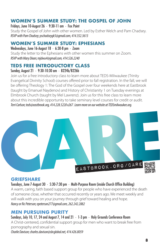#### **WOMEN'S SUMMER STUDY: THE GOSPEL OF JOHN**

Fridays, June 10-August 26 · 9:30-11 am · Fox Point

Study the Gospel of John with other women. Led by Esther Welch and Pam Chadsey. *RSVP with Pam Chadsey; pschadseygk5@gmail.com, 414.352.3613*

#### **WOMEN'S SUMMER STUDY: EPHESIANS**

Wednesdays, June 16-August 18 · 6:30-8 pm · Zoom Study the letter to the Ephesians with other women this summer on Zoom. *RSVP with Mary Dixon; mjdwu4@gmail.com, 414.526.2240*

#### **TEDS FREE INTRODUCTORY CLASS**

#### Sunday, August 21 · 9:30-10:30 am · B224b/B226b

Join us for a free introductory class to learn more about TEDS-Milwaukee (Trinity Evangelical Divinity School) courses offered prior to fall registration. In the fall, we will be offering Theology 1: The God of the Gospel over four weekends here at Eastbrook (taught by Emanuel Naydenov) and History of Christianity 1 on Tuesday evenings at Elmbrook Church (taught by Mel Lawrenz). Join us for this free class to learn more about this incredible opportunity to take seminary level courses for credit or audit. *Terri Carlson; teds@eastbrook.org, 414.228.5220 x267*. *Learn more on our website at TEDSmilwaukee.org.*



#### **GRIEFSHARE**

#### Tuesdays, June 7-August 30 · 5:30-7:30 pm · Multi-Purpose Room (inside Church Office Building)

A warm, caring, faith based support group for people who have experienced the death of someone close, whether that occurred recently or years ago. We meet weekly and will walk with you on your journey through grief toward healing and hope. *Nancy or Ric Peterson; epeterson277@gmail.com, 262.242.2882*

#### **MEN PURSUING PURITY**

Sundays, July 10, 17, 24 and August 7, 14 and 21 · 1-3 pm · Holy Grounds Conference Room A Christ-centered, confidential support group for men who want to break free from pornography and sexual sin. *Charlie Davison; charles.davison@sbcglobal.net, 414.426.8059*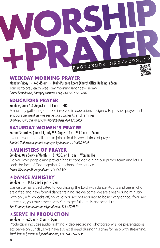# eastbrook.org/worship

#### **WEEKDAY MORNING PRAYER**

Monday-Friday · 6-6:45 am · Multi-Purpose Room (Church Office Building)+Zoom Join us to pray each weekday morning (Monday-Friday). *Pastor Femi Ibitoye; bitoye@eastbrook.org, 414.228.5220 x246*

#### **EDUCATORS PRAYER**

#### Sundays, June 5 & August 7 · 11 am · FH3

A monthly gathering of those involved in education, designed to provide prayer and encouragement as we serve our students and families! *Charlie Davison; charles.davison@sbcglobal.net, 414.426.8059*

#### **SATURDAY WOMEN'S PRAYER**

Second Saturdays (June 11, July 9 & August 13) · 9-10 am · Zoom Inviting women of all ages to join us in this special time of prayer. *Jamilah Underwood; promiseofprayer@yahoo.com, 414.698.7449*

#### ★**MINISTERS OF PRAYER**

Sundays, One Service/Month · 8, 9:30, or 11 am · Worship Hall

Do you love people and prayer? Please consider joining our prayer team and let us seek the face of God together for others after service. *Esther Welch; gra8juice@aol.com, 414.464.3463*

#### ★**DANCE MINISTRY**

#### Sundays · 10:45 am-12 pm · Gym

Dance Eternal is dedicated to worshiping the Lord with dance. Adults and teens who are gifted and have formal dance training are welcome. We are a year-round ministry, with only a few weeks off, however you are not required to be in every dance. If you are interested, you must meet with Kim to get full details and schedule. *Kim Brunner; kimmerbrunner@gmail.com, 414.477.9310*

#### ★**SERVE IN PRODUCTION**

#### Sundays · 6:30 am-12 pm · Gym

Production includes audio, lighting, video, recording, photography, slide presentations etc. Serve on Sundays! We have a special need during this time for help with streaming. *Mitch Vomhof; mvomhof@eastbrook.org, 414.228.5220 x238*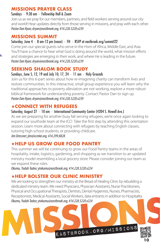#### **MISSIONS PRAYER CLASS**

#### Sundays · 9:30 am · Fellowship Hall & Zoom

Join us as we pray for our members, partners, and field workers serving around our city and world! Hear updates directly from those serving in missions, and pray with each other. *Pastor Dan Ryan; dryan@eastbrook.org, 414.228.5220 x239*

#### **MISSIONS SUMMIT**

#### Saturday, June 4 · 8 am-12 pm (noon) · FH · RSVP at eastbrook.org/summit22

Come join our special guests who serve in the Horn of Africa, Middle East, and Asia. You'll have a chance to hear what God is doing around the world, what mission efforts and strategies are emerging in their work, and where He is leading in the future. *Pastor Dan Ryan; dryan@eastbrook.org, 414.228.5220 x239*

#### **SEEKING SHALOM BOOK STUDY**

#### Sundays, June 5, 12, 19 and July 10, 17,  $24 \cdot 11$  am  $\cdot$  Holy Grounds

Join us for this 6-part series about how re-imagining charity can transform lives and restore communities. In this interactive, small group experience you will learn why the traditional approaches to poverty alleviation are not working, explore a more robust biblical framework for understanding poverty. Contact Pastor Dan to sign up. *Pastor Dan Ryan; dryan@eastbrook.org, 414.228.5220 x239*

#### ★**CONNECT WITH REFUGEES**

#### Saturday, August 27 · 10 am · International Community Center (4204 S. Howell Ave.)

As we are preparing for another busy fall serving refugees, we're once again looking to expand our southside team at the ICC! Take the first step by attending this orientation session. Learn more about connecting with refugees by teaching English classes, tutoring high school students, or providing childcare.

#### *Jim Dressner; jim@iccmke.org, 414.299.8828*

#### ★**HELP US GROW OUR FOOD PANTRY**

This summer we will be continuing to grow our Food Pantry teams in the areas of hospitality, intake, logistics, gardening, and shopping as we transition to an updated ministry model resembling a local grocery store<sup>.</sup> Please consider joining our team as we expand these roles.

*Okumu, Yudah Tadeo; ytokumu@eastbrook.org, 414.228.5220 x224*

#### ★**HELP BOLSTER OUR CLINIC MINISTRY**

We are looking to strengthen our ministry at the Bread of Healing Clinic by rebuilding a dedicated ministry team. We need Physicians, Physician Assistants, Nurse Practitioners, Physical and Occupational Therapists, Dentists, Dental Hygienists, Nurses, Pharmacists, Receptionists, Medical Assistants, Social Workers, data entrants in addition to Hospitality. *Okumu, Yudah Tadeo; ytokumu@eastbrook.org, 414.228.5220 x224*

eastbrook.org/missions